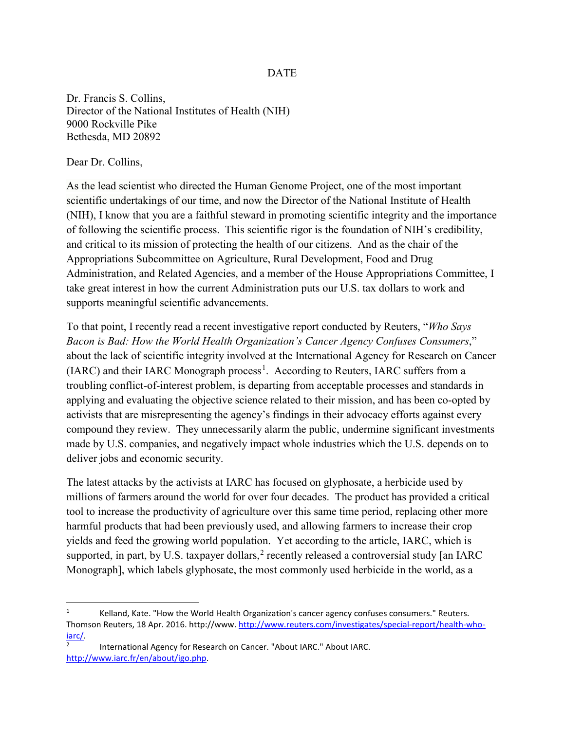## DATE

Dr. Francis S. Collins, Director of the National Institutes of Health (NIH) 9000 Rockville Pike Bethesda, MD 20892

Dear Dr. Collins,

As the lead scientist who directed the Human Genome Project, one of the most important scientific undertakings of our time, and now the Director of the National Institute of Health (NIH), I know that you are a faithful steward in promoting scientific integrity and the importance of following the scientific process. This scientific rigor is the foundation of NIH's credibility, and critical to its mission of protecting the health of our citizens. And as the chair of the Appropriations Subcommittee on Agriculture, Rural Development, Food and Drug Administration, and Related Agencies, and a member of the House Appropriations Committee, I take great interest in how the current Administration puts our U.S. tax dollars to work and supports meaningful scientific advancements.

To that point, I recently read a recent investigative report conducted by Reuters, "*Who Says Bacon is Bad: How the World Health Organization's Cancer Agency Confuses Consumers*," about the lack of scientific integrity involved at the International Agency for Research on Cancer (IARC) and their IARC Monograph process<sup>[1](#page-0-0)</sup>. According to Reuters, IARC suffers from a troubling conflict-of-interest problem, is departing from acceptable processes and standards in applying and evaluating the objective science related to their mission, and has been co-opted by activists that are misrepresenting the agency's findings in their advocacy efforts against every compound they review. They unnecessarily alarm the public, undermine significant investments made by U.S. companies, and negatively impact whole industries which the U.S. depends on to deliver jobs and economic security.

The latest attacks by the activists at IARC has focused on glyphosate, a herbicide used by millions of farmers around the world for over four decades. The product has provided a critical tool to increase the productivity of agriculture over this same time period, replacing other more harmful products that had been previously used, and allowing farmers to increase their crop yields and feed the growing world population. Yet according to the article, IARC, which is supported, in part, by U.S. taxpayer dollars,<sup>[2](#page-0-1)</sup> recently released a controversial study [an IARC] Monograph], which labels glyphosate, the most commonly used herbicide in the world, as a

<span id="page-0-0"></span> $1 \text{Kelland}$ , Kate. "How the World Health Organization's cancer agency confuses consumers." Reuters. Thomson Reuters, 18 Apr. 2016. http://www. [http://www.reuters.com/investigates/special-report/health-who-](http://www.reuters.com/investigates/special-report/health-who-iarc/) $\frac{\text{iarc}}{2}$ . International Agency for Research on Cancer. "About IARC." About IARC.

<span id="page-0-1"></span>[http://www.iarc.fr/en/about/igo.php.](http://www.iarc.fr/en/about/igo.php)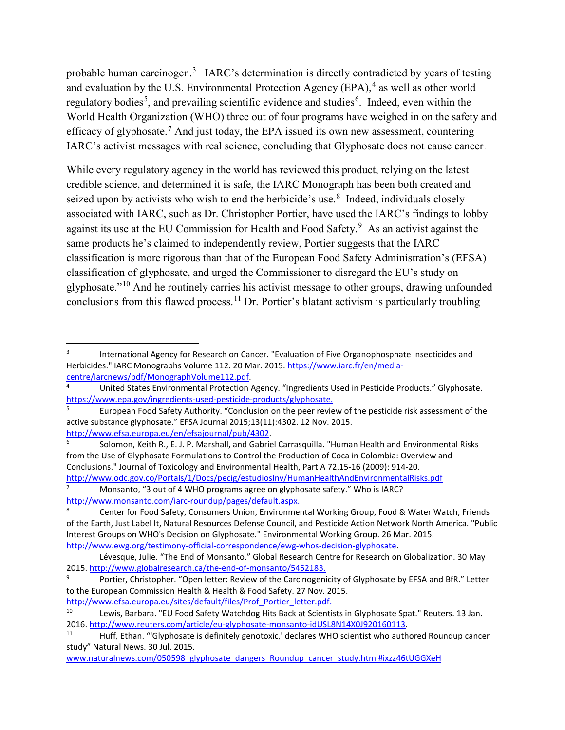probable human carcinogen.<sup>[3](#page-1-0)</sup> IARC's determination is directly contradicted by years of testing and evaluation by the U.S. Environmental Protection Agency (EPA),  $4$  as well as other world regulatory bodies<sup>[5](#page-1-2)</sup>, and prevailing scientific evidence and studies<sup>[6](#page-1-3)</sup>. Indeed, even within the World Health Organization (WHO) three out of four programs have weighed in on the safety and efficacy of glyphosate.[7](#page-1-4) And just today, the EPA issued its own new assessment, countering IARC's activist messages with real science, concluding that Glyphosate does not cause [cancer.](https://www.baumhedlundlaw.com/)

While every regulatory agency in the world has reviewed this product, relying on the latest credible science, and determined it is safe, the IARC Monograph has been both created and seized upon by activists who wish to end the herbicide's use.<sup>[8](#page-1-5)</sup> Indeed, individuals closely associated with IARC, such as Dr. Christopher Portier, have used the IARC's findings to lobby against its use at the EU Commission for Health and Food Safety.<sup>[9](#page-1-6)</sup> As an activist against the same products he's claimed to independently review, Portier suggests that the IARC classification is more rigorous than that of the European Food Safety Administration's (EFSA) classification of glyphosate, and urged the Commissioner to disregard the EU's study on glyphosate."[10](#page-1-7) And he routinely carries his activist message to other groups, drawing unfounded conclusions from this flawed process.<sup>[11](#page-1-8)</sup> Dr. Portier's blatant activism is particularly troubling

<span id="page-1-4"></span><sup>7</sup> Monsanto, "3 out of 4 WHO programs agree on glyphosate safety." Who is IARC?

<span id="page-1-0"></span><sup>&</sup>lt;sup>3</sup> International Agency for Research on Cancer. "Evaluation of Five Organophosphate Insecticides and Herbicides." IARC Monographs Volume 112. 20 Mar. 2015. https://www.iarc.fr/en/media-centre/iarcnews/pdf/MonographVolume112.pdf.

<span id="page-1-1"></span>United States Environmental Protection Agency. "Ingredients Used in Pesticide Products." Glyphosate. [https://www.epa.gov/ingredients-used-pesticide-products/glyphosate.](https://www.epa.gov/ingredients-used-pesticide-products/glyphosate)

<span id="page-1-2"></span><sup>5</sup> European Food Safety Authority. "Conclusion on the peer review of the pesticide risk assessment of the active substance glyphosate." EFSA Journal 2015;13(11):4302. 12 Nov. 2015.

<span id="page-1-3"></span>[http://www.efsa.europa.eu/en/efsajournal/pub/4302.](http://www.efsa.europa.eu/en/efsajournal/pub/4302)<br>
6 Solomon, Keith R., E. J. P. Marshall, and Gabriel Carrasquilla. "Human Health and Environmental Risks from the Use of Glyphosate Formulations to Control the Production of Coca in Colombia: Overview and Conclusions." Journal of Toxicology and Environmental Health, Part A 72.15-16 (2009): 914-20. <http://www.odc.gov.co/Portals/1/Docs/pecig/estudiosInv/HumanHealthAndEnvironmentalRisks.pdf>

<span id="page-1-5"></span>[http://www.monsanto.com/iarc-roundup/pages/default.aspx.](http://www.monsanto.com/iarc-roundup/pages/default.aspx)<br><sup>8</sup> Center for Food Safety, Consumers Union, Environmental Working Group, Food & Water Watch, Friends of the Earth, Just Label It, Natural Resources Defense Council, and Pesticide Action Network North America. "Public Interest Groups on WHO's Decision on Glyphosate." Environmental Working Group. 26 Mar. 2015. [http://www.ewg.org/testimony-official-correspondence/ewg-whos-decision-glyphosate.](http://www.ewg.org/testimony-official-correspondence/ewg-whos-decision-glyphosate)

Lévesque, Julie. "The End of Monsanto." Global Research Centre for Research on Globalization. 30 May 2015. [http://www.globalresearch.ca/the-end-of-monsanto/5452183.](http://www.globalresearch.ca/the-end-of-monsanto/5452183)

<span id="page-1-6"></span>Portier, Christopher. "Open letter: Review of the Carcinogenicity of Glyphosate by EFSA and BfR." Letter to the European Commission Health & Health & Food Safety. 27 Nov. 2015. [http://www.efsa.europa.eu/sites/default/files/Prof\\_Portier\\_letter.pdf.](http://www.efsa.europa.eu/sites/default/files/Prof_Portier_letter.pdf)

<span id="page-1-7"></span>Lewis, Barbara. "EU Food Safety Watchdog Hits Back at Scientists in Glyphosate Spat." Reuters. 13 Jan. 2016. [http://www.reuters.com/article/eu-glyphosate-monsanto-idUSL8N14X0J920160113.](http://www.reuters.com/article/eu-glyphosate-monsanto-idUSL8N14X0J920160113)

<span id="page-1-8"></span><sup>11</sup> Huff, Ethan. "'Glyphosate is definitely genotoxic,' declares WHO scientist who authored Roundup cancer study" Natural News. 30 Jul. 2015.

[www.naturalnews.com/050598\\_glyphosate\\_dangers\\_Roundup\\_cancer\\_study.html#ixzz46tUGGXeH](http://www.naturalnews.com/050598_glyphosate_dangers_Roundup_cancer_study.html#ixzz46tUGGXeH)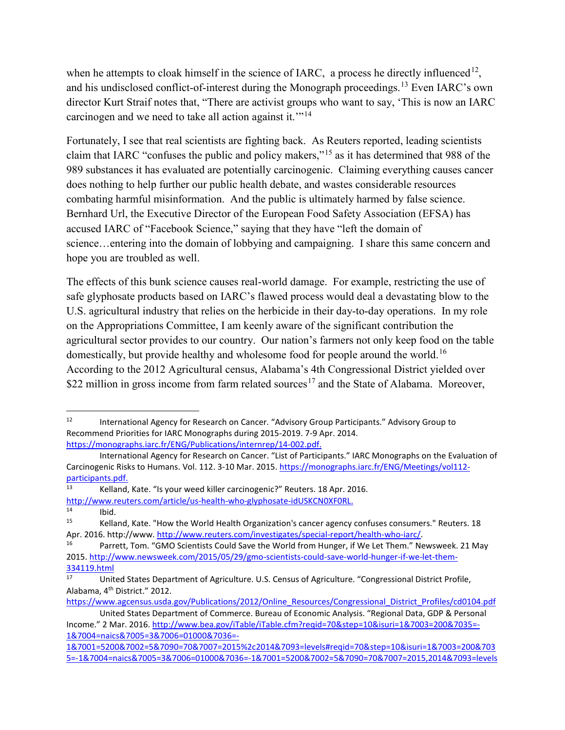when he attempts to cloak himself in the science of IARC, a process he directly influenced<sup>12</sup>, and his undisclosed conflict-of-interest during the Monograph proceedings.<sup>[13](#page-2-1)</sup> Even IARC's own director Kurt Straif notes that, "There are activist groups who want to say, 'This is now an IARC carcinogen and we need to take all action against it.'"[14](#page-2-2)

Fortunately, I see that real scientists are fighting back. As Reuters reported, leading scientists claim that IARC "confuses the public and policy makers,"[15](#page-2-3) as it has determined that 988 of the 989 substances it has evaluated are potentially carcinogenic. Claiming everything causes cancer does nothing to help further our public health debate, and wastes considerable resources combating harmful misinformation. And the public is ultimately harmed by false science. Bernhard Url, the Executive Director of the European Food Safety Association (EFSA) has accused IARC of "Facebook Science," saying that they have "left the domain of science...entering into the domain of lobbying and campaigning. I share this same concern and hope you are troubled as well.

The effects of this bunk science causes real-world damage. For example, restricting the use of safe glyphosate products based on IARC's flawed process would deal a devastating blow to the U.S. agricultural industry that relies on the herbicide in their day-to-day operations. In my role on the Appropriations Committee, I am keenly aware of the significant contribution the agricultural sector provides to our country. Our nation's farmers not only keep food on the table domestically, but provide healthy and wholesome food for people around the world.<sup>[16](#page-2-4)</sup> According to the 2012 Agricultural census, Alabama's 4th Congressional District yielded over \$22 million in gross income from farm related sources<sup>[17](#page-2-5)</sup> and the State of Alabama. Moreover,

<span id="page-2-2"></span>[http://www.reuters.com/article/us-health-who-glyphosate-idUSKCN0XF0RL.](http://www.reuters.com/article/us-health-who-glyphosate-idUSKCN0XF0RL)  $14$  Ibid.<br> $15$   $K_0$ Ilo

[https://www.agcensus.usda.gov/Publications/2012/Online\\_Resources/Congressional\\_District\\_Profiles/cd0104.pdf](https://www.agcensus.usda.gov/Publications/2012/Online_Resources/Congressional_District_Profiles/cd0104.pdf) United States Department of Commerce. Bureau of Economic Analysis. "Regional Data, GDP & Personal

<span id="page-2-0"></span><sup>&</sup>lt;sup>12</sup> International Agency for Research on Cancer. "Advisory Group Participants." Advisory Group to Recommend Priorities for IARC Monographs during 2015-2019. 7-9 Apr. 2014. [https://monographs.iarc.fr/ENG/Publications/internrep/14-002.pdf.](https://monographs.iarc.fr/ENG/Publications/internrep/14-002.pdf)

International Agency for Research on Cancer. "List of Participants." IARC Monographs on the Evaluation of Carcinogenic Risks to Humans. Vol. 112. 3-10 Mar. 2015. [https://monographs.iarc.fr/ENG/Meetings/vol112](https://monographs.iarc.fr/ENG/Meetings/vol112-participants.pdf) [participants.pdf.](https://monographs.iarc.fr/ENG/Meetings/vol112-participants.pdf)<br>13 Kolland

<span id="page-2-1"></span><sup>13</sup> Kelland, Kate. "Is your weed killer carcinogenic?" Reuters. 18 Apr. 2016.

<span id="page-2-3"></span><sup>15</sup> Kelland, Kate. "How the World Health Organization's cancer agency confuses consumers." Reuters. 18 Apr. 2016. http://www. [http://www.reuters.com/investigates/special-report/health-who-iarc/.](http://www.reuters.com/investigates/special-report/health-who-iarc/)<br><sup>16</sup> Parrett, Tom. "GMO Scientists Could Save the World from Hunger, if We Let Them." Newsweek. 21 May

<span id="page-2-4"></span><sup>2015.</sup> [http://www.newsweek.com/2015/05/29/gmo-scientists-could-save-world-hunger-if-we-let-them-](http://www.newsweek.com/2015/05/29/gmo-scientists-could-save-world-hunger-if-we-let-them-334119.html)[334119.html](http://www.newsweek.com/2015/05/29/gmo-scientists-could-save-world-hunger-if-we-let-them-334119.html)

<span id="page-2-5"></span>United States Department of Agriculture. U.S. Census of Agriculture. "Congressional District Profile, Alabama, 4th District." 2012.

Income." 2 Mar. 2016. [http://www.bea.gov/iTable/iTable.cfm?reqid=70&step=10&isuri=1&7003=200&7035=-](http://www.bea.gov/iTable/iTable.cfm?reqid=70&step=10&isuri=1&7003=200&7035=-1&7004=naics&7005=3&7006=01000&7036=-1&7001=5200&7002=5&7090=70&7007=2015%2c2014&7093=levels#reqid=70&step=10&isuri=1&7003=200&7035=-1&7004=naics&7005=3&7006=01000&7036=-1&7001=5200&7002=5&7090=70&7007=2015,2014&7093=levels) [1&7004=naics&7005=3&7006=01000&7036=-](http://www.bea.gov/iTable/iTable.cfm?reqid=70&step=10&isuri=1&7003=200&7035=-1&7004=naics&7005=3&7006=01000&7036=-1&7001=5200&7002=5&7090=70&7007=2015%2c2014&7093=levels#reqid=70&step=10&isuri=1&7003=200&7035=-1&7004=naics&7005=3&7006=01000&7036=-1&7001=5200&7002=5&7090=70&7007=2015,2014&7093=levels)

[<sup>1&</sup>amp;7001=5200&7002=5&7090=70&7007=2015%2c2014&7093=levels#reqid=70&step=10&isuri=1&7003=200&703](http://www.bea.gov/iTable/iTable.cfm?reqid=70&step=10&isuri=1&7003=200&7035=-1&7004=naics&7005=3&7006=01000&7036=-1&7001=5200&7002=5&7090=70&7007=2015%2c2014&7093=levels#reqid=70&step=10&isuri=1&7003=200&7035=-1&7004=naics&7005=3&7006=01000&7036=-1&7001=5200&7002=5&7090=70&7007=2015,2014&7093=levels) [5=-1&7004=naics&7005=3&7006=01000&7036=-1&7001=5200&7002=5&7090=70&7007=2015,2014&7093=levels](http://www.bea.gov/iTable/iTable.cfm?reqid=70&step=10&isuri=1&7003=200&7035=-1&7004=naics&7005=3&7006=01000&7036=-1&7001=5200&7002=5&7090=70&7007=2015%2c2014&7093=levels#reqid=70&step=10&isuri=1&7003=200&7035=-1&7004=naics&7005=3&7006=01000&7036=-1&7001=5200&7002=5&7090=70&7007=2015,2014&7093=levels)